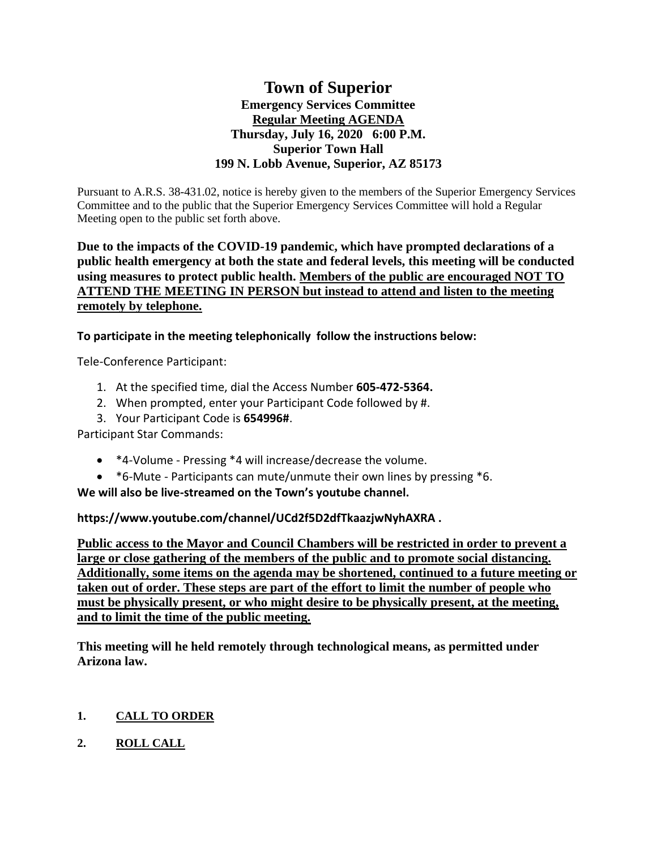# **Town of Superior Emergency Services Committee Regular Meeting AGENDA Thursday, July 16, 2020 6:00 P.M. Superior Town Hall 199 N. Lobb Avenue, Superior, AZ 85173**

Pursuant to A.R.S. 38-431.02, notice is hereby given to the members of the Superior Emergency Services Committee and to the public that the Superior Emergency Services Committee will hold a Regular Meeting open to the public set forth above.

### **Due to the impacts of the COVID-19 pandemic, which have prompted declarations of a public health emergency at both the state and federal levels, this meeting will be conducted using measures to protect public health. Members of the public are encouraged NOT TO ATTEND THE MEETING IN PERSON but instead to attend and listen to the meeting remotely by telephone.**

**To participate in the meeting telephonically follow the instructions below:**

Tele-Conference Participant:

- 1. At the specified time, dial the Access Number **605-472-5364.**
- 2. When prompted, enter your Participant Code followed by #.
- 3. Your Participant Code is **654996#**.

Participant Star Commands:

- \*4-Volume Pressing \*4 will increase/decrease the volume.
- \*6-Mute Participants can mute/unmute their own lines by pressing \*6.

**We will also be live-streamed on the Town's youtube channel.** 

**https://www.youtube.com/channel/UCd2f5D2dfTkaazjwNyhAXRA .** 

**Public access to the Mayor and Council Chambers will be restricted in order to prevent a large or close gathering of the members of the public and to promote social distancing. Additionally, some items on the agenda may be shortened, continued to a future meeting or taken out of order. These steps are part of the effort to limit the number of people who must be physically present, or who might desire to be physically present, at the meeting, and to limit the time of the public meeting.**

**This meeting will he held remotely through technological means, as permitted under Arizona law.**

## **1. CALL TO ORDER**

**2. ROLL CALL**